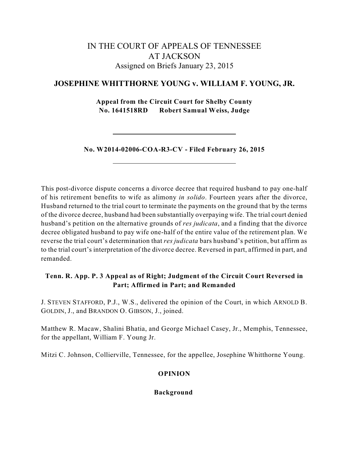# IN THE COURT OF APPEALS OF TENNESSEE AT JACKSON Assigned on Briefs January 23, 2015

## **JOSEPHINE WHITTHORNE YOUNG v. WILLIAM F. YOUNG, JR.**

**Appeal from the Circuit Court for Shelby County No. 1641518RD Robert Samual Weiss, Judge**

**No. W2014-02006-COA-R3-CV - Filed February 26, 2015**

This post-divorce dispute concerns a divorce decree that required husband to pay one-half of his retirement benefits to wife as alimony *in solido*. Fourteen years after the divorce, Husband returned to the trial court to terminate the payments on the ground that by the terms of the divorce decree, husband had been substantially overpaying wife. The trial court denied husband's petition on the alternative grounds of *res judicata*, and a finding that the divorce decree obligated husband to pay wife one-half of the entire value of the retirement plan. We reverse the trial court's determination that *res judicata* bars husband's petition, but affirm as to the trial court's interpretation of the divorce decree. Reversed in part, affirmed in part, and remanded.

## **Tenn. R. App. P. 3 Appeal as of Right; Judgment of the Circuit Court Reversed in Part; Affirmed in Part; and Remanded**

J. STEVEN STAFFORD, P.J., W.S., delivered the opinion of the Court, in which ARNOLD B. GOLDIN, J., and BRANDON O. GIBSON, J., joined.

Matthew R. Macaw, Shalini Bhatia, and George Michael Casey, Jr., Memphis, Tennessee, for the appellant, William F. Young Jr.

Mitzi C. Johnson, Collierville, Tennessee, for the appellee, Josephine Whitthorne Young.

## **OPINION**

**Background**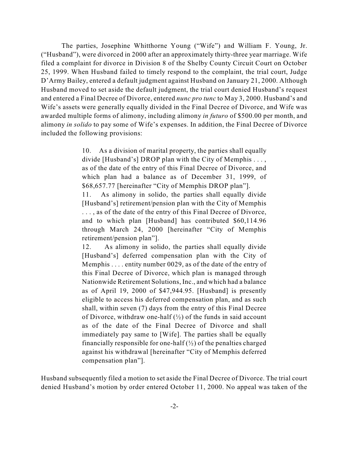The parties, Josephine Whitthorne Young ("Wife") and William F. Young, Jr. ("Husband"), were divorced in 2000 after an approximately thirty-three year marriage. Wife filed a complaint for divorce in Division 8 of the Shelby County Circuit Court on October 25, 1999. When Husband failed to timely respond to the complaint, the trial court, Judge D'Army Bailey, entered a default judgment against Husband on January 21, 2000. Although Husband moved to set aside the default judgment, the trial court denied Husband's request and entered a Final Decree of Divorce, entered *nunc pro tunc* to May 3, 2000. Husband's and Wife's assets were generally equally divided in the Final Decree of Divorce, and Wife was awarded multiple forms of alimony, including alimony *in futuro* of \$500.00 per month, and alimony *in solido* to pay some of Wife's expenses. In addition, the Final Decree of Divorce included the following provisions:

> 10. As a division of marital property, the parties shall equally divide [Husband's] DROP plan with the City of Memphis . . . , as of the date of the entry of this Final Decree of Divorce, and which plan had a balance as of December 31, 1999, of \$68,657.77 [hereinafter "City of Memphis DROP plan"].

> 11. As alimony in solido, the parties shall equally divide [Husband's] retirement/pension plan with the City of Memphis . . . , as of the date of the entry of this Final Decree of Divorce, and to which plan [Husband] has contributed \$60,114.96 through March 24, 2000 [hereinafter "City of Memphis retirement/pension plan"].

> 12. As alimony in solido, the parties shall equally divide [Husband's] deferred compensation plan with the City of Memphis . . . . entity number 0029, as of the date of the entry of this Final Decree of Divorce, which plan is managed through Nationwide Retirement Solutions, Inc., and which had a balance as of April 19, 2000 of \$47,944.95. [Husband] is presently eligible to access his deferred compensation plan, and as such shall, within seven (7) days from the entry of this Final Decree of Divorce, withdraw one-half  $(\frac{1}{2})$  of the funds in said account as of the date of the Final Decree of Divorce and shall immediately pay same to [Wife]. The parties shall be equally financially responsible for one-half  $(\frac{1}{2})$  of the penalties charged against his withdrawal [hereinafter "City of Memphis deferred compensation plan"].

Husband subsequently filed a motion to set aside the Final Decree of Divorce. The trial court denied Husband's motion by order entered October 11, 2000. No appeal was taken of the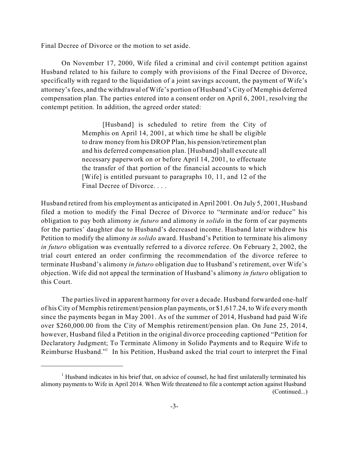Final Decree of Divorce or the motion to set aside.

On November 17, 2000, Wife filed a criminal and civil contempt petition against Husband related to his failure to comply with provisions of the Final Decree of Divorce, specifically with regard to the liquidation of a joint savings account, the payment of Wife's attorney'sfees, and the withdrawal of Wife's portion of Husband's City of Memphis deferred compensation plan. The parties entered into a consent order on April 6, 2001, resolving the contempt petition. In addition, the agreed order stated:

> [Husband] is scheduled to retire from the City of Memphis on April 14, 2001, at which time he shall be eligible to draw money from his DROP Plan, his pension/retirement plan and his deferred compensation plan. [Husband] shall execute all necessary paperwork on or before April 14, 2001, to effectuate the transfer of that portion of the financial accounts to which [Wife] is entitled pursuant to paragraphs 10, 11, and 12 of the Final Decree of Divorce. . . .

Husband retired from his employment as anticipated in April 2001. On July 5, 2001, Husband filed a motion to modify the Final Decree of Divorce to "terminate and/or reduce" his obligation to pay both alimony *in futuro* and alimony *in solido* in the form of car payments for the parties' daughter due to Husband's decreased income. Husband later withdrew his Petition to modify the alimony *in solido* award. Husband's Petition to terminate his alimony *in futuro* obligation was eventually referred to a divorce referee. On February 2, 2002, the trial court entered an order confirming the recommendation of the divorce referee to terminate Husband's alimony *in futuro* obligation due to Husband's retirement, over Wife's objection. Wife did not appeal the termination of Husband's alimony *in futuro* obligation to this Court.

The parties lived in apparent harmony for over a decade. Husband forwarded one-half of his City of Memphisretirement/pension plan payments, or \$1,617.24, to Wife every month since the payments began in May 2001. As of the summer of 2014, Husband had paid Wife over \$260,000.00 from the City of Memphis retirement/pension plan. On June 25, 2014, however, Husband filed a Petition in the original divorce proceeding captioned "Petition for Declaratory Judgment; To Terminate Alimony in Solido Payments and to Require Wife to Reimburse Husband."<sup>1</sup> In his Petition, Husband asked the trial court to interpret the Final

 $<sup>1</sup>$  Husband indicates in his brief that, on advice of counsel, he had first unilaterally terminated his</sup> alimony payments to Wife in April 2014. When Wife threatened to file a contempt action against Husband (Continued...)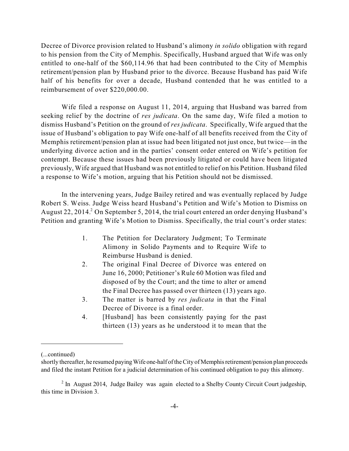Decree of Divorce provision related to Husband's alimony *in solido* obligation with regard to his pension from the City of Memphis. Specifically, Husband argued that Wife was only entitled to one-half of the \$60,114.96 that had been contributed to the City of Memphis retirement/pension plan by Husband prior to the divorce. Because Husband has paid Wife half of his benefits for over a decade, Husband contended that he was entitled to a reimbursement of over \$220,000.00.

Wife filed a response on August 11, 2014, arguing that Husband was barred from seeking relief by the doctrine of *res judicata*. On the same day, Wife filed a motion to dismiss Husband's Petition on the ground of *res judicata*. Specifically, Wife argued that the issue of Husband's obligation to pay Wife one-half of all benefits received from the City of Memphis retirement/pension plan at issue had been litigated not just once, but twice—in the underlying divorce action and in the parties' consent order entered on Wife's petition for contempt. Because these issues had been previously litigated or could have been litigated previously, Wife argued that Husband was not entitled to relief on his Petition. Husband filed a response to Wife's motion, arguing that his Petition should not be dismissed.

In the intervening years, Judge Bailey retired and was eventually replaced by Judge Robert S. Weiss. Judge Weiss heard Husband's Petition and Wife's Motion to Dismiss on August 22, 2014.  $2$  On September 5, 2014, the trial court entered an order denying Husband's Petition and granting Wife's Motion to Dismiss. Specifically, the trial court's order states:

- 1. The Petition for Declaratory Judgment; To Terminate Alimony in Solido Payments and to Require Wife to Reimburse Husband is denied.
- 2. The original Final Decree of Divorce was entered on June 16, 2000; Petitioner's Rule 60 Motion was filed and disposed of by the Court; and the time to alter or amend the Final Decree has passed over thirteen (13) years ago.
- 3. The matter is barred by *res judicata* in that the Final Decree of Divorce is a final order.
- 4. [Husband] has been consistently paying for the past thirteen (13) years as he understood it to mean that the

<sup>(...</sup>continued)

shortly thereafter, he resumed paying Wife one-half of theCity of Memphis retirement/pension plan proceeds and filed the instant Petition for a judicial determination of his continued obligation to pay this alimony.

 $<sup>2</sup>$  In August 2014, Judge Bailey was again elected to a Shelby County Circuit Court judgeship,</sup> this time in Division 3.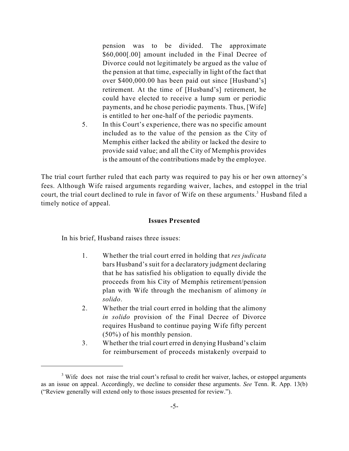pension was to be divided. The approximate \$60,000[.00] amount included in the Final Decree of Divorce could not legitimately be argued as the value of the pension at that time, especially in light of the fact that over \$400,000.00 has been paid out since [Husband's] retirement. At the time of [Husband's] retirement, he could have elected to receive a lump sum or periodic payments, and he chose periodic payments. Thus, [Wife] is entitled to her one-half of the periodic payments.

5. In this Court's experience, there was no specific amount included as to the value of the pension as the City of Memphis either lacked the ability or lacked the desire to provide said value; and all the City of Memphis provides is the amount of the contributions made by the employee.

The trial court further ruled that each party was required to pay his or her own attorney's fees. Although Wife raised arguments regarding waiver, laches, and estoppel in the trial court, the trial court declined to rule in favor of Wife on these arguments.<sup>3</sup> Husband filed a timely notice of appeal.

### **Issues Presented**

In his brief, Husband raises three issues:

- 1. Whether the trial court erred in holding that *res judicata* bars Husband's suit for a declaratory judgment declaring that he has satisfied his obligation to equally divide the proceeds from his City of Memphis retirement/pension plan with Wife through the mechanism of alimony *in solido*.
- 2. Whether the trial court erred in holding that the alimony *in solido* provision of the Final Decree of Divorce requires Husband to continue paying Wife fifty percent (50%) of his monthly pension.
- 3. Whether the trial court erred in denying Husband's claim for reimbursement of proceeds mistakenly overpaid to

<sup>&</sup>lt;sup>3</sup> Wife does not raise the trial court's refusal to credit her waiver, laches, or estoppel arguments as an issue on appeal. Accordingly, we decline to consider these arguments. *See* Tenn. R. App. 13(b) ("Review generally will extend only to those issues presented for review.").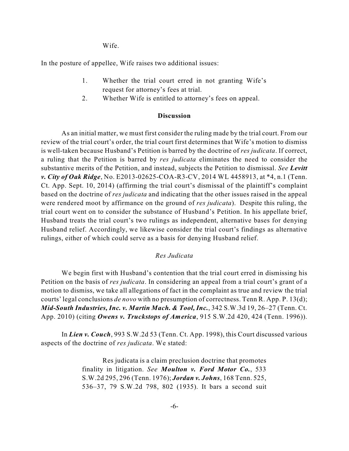Wife.

In the posture of appellee, Wife raises two additional issues:

- 1. Whether the trial court erred in not granting Wife's request for attorney's fees at trial.
- 2. Whether Wife is entitled to attorney's fees on appeal.

## **Discussion**

As an initial matter, we must first consider the ruling made by the trial court. From our review of the trial court's order, the trial court first determines that Wife's motion to dismiss is well-taken because Husband's Petition is barred by the doctrine of *res judicata*. If correct, a ruling that the Petition is barred by *res judicata* eliminates the need to consider the substantive merits of the Petition, and instead, subjects the Petition to dismissal. *See Levitt v. City of Oak Ridge*, No. E2013-02625-COA-R3-CV, 2014 WL 4458913, at \*4, n.1 (Tenn. Ct. App. Sept. 10, 2014) (affirming the trial court's dismissal of the plaintiff's complaint based on the doctrine of *res judicata* and indicating that the other issues raised in the appeal were rendered moot by affirmance on the ground of *res judicata*). Despite this ruling, the trial court went on to consider the substance of Husband's Petition. In his appellate brief, Husband treats the trial court's two rulings as independent, alternative bases for denying Husband relief. Accordingly, we likewise consider the trial court's findings as alternative rulings, either of which could serve as a basis for denying Husband relief.

## *Res Judicata*

We begin first with Husband's contention that the trial court erred in dismissing his Petition on the basis of *res judicata*. In considering an appeal from a trial court's grant of a motion to dismiss, we take all allegations of fact in the complaint as true and review the trial courts' legal conclusions *de novo* with no presumption of correctness. Tenn R. App. P. 13(d); *Mid-South Industries, Inc. v. Martin Mach. & Tool, Inc.*, 342 S.W.3d 19, 26–27 (Tenn. Ct. App. 2010) (citing *Owens v. Truckstops of America*, 915 S.W.2d 420, 424 (Tenn. 1996)).

In *Lien v. Couch*, 993 S.W.2d 53 (Tenn. Ct. App. 1998), this Court discussed various aspects of the doctrine of *res judicata*. We stated:

> Res judicata is a claim preclusion doctrine that promotes finality in litigation. *See Moulton v. Ford Motor Co.*, 533 S.W.2d 295, 296 (Tenn. 1976); *Jordan v. Johns*, 168 Tenn. 525, 536–37, 79 S.W.2d 798, 802 (1935). It bars a second suit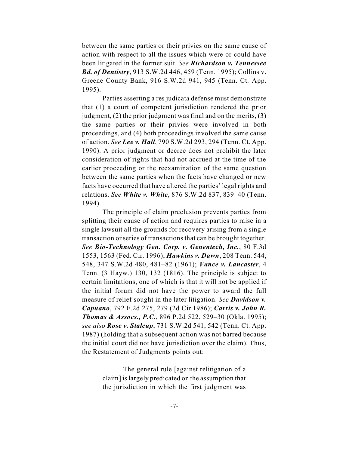between the same parties or their privies on the same cause of action with respect to all the issues which were or could have been litigated in the former suit. *See Richardson v. Tennessee Bd. of Dentistry*, 913 S.W.2d 446, 459 (Tenn. 1995); Collins v. Greene County Bank, 916 S.W.2d 941, 945 (Tenn. Ct. App. 1995).

Parties asserting a res judicata defense must demonstrate that (1) a court of competent jurisdiction rendered the prior judgment, (2) the prior judgment was final and on the merits, (3) the same parties or their privies were involved in both proceedings, and (4) both proceedings involved the same cause of action. *See Lee v. Hall*, 790 S.W.2d 293, 294 (Tenn. Ct. App. 1990). A prior judgment or decree does not prohibit the later consideration of rights that had not accrued at the time of the earlier proceeding or the reexamination of the same question between the same parties when the facts have changed or new facts have occurred that have altered the parties' legal rights and relations. *See White v. White*, 876 S.W.2d 837, 839–40 (Tenn. 1994).

The principle of claim preclusion prevents parties from splitting their cause of action and requires parties to raise in a single lawsuit all the grounds for recovery arising from a single transaction or series of transactions that can be brought together. *See Bio-Technology Gen. Corp. v. Genentech, Inc.*, 80 F.3d 1553, 1563 (Fed. Cir. 1996); *Hawkins v. Dawn*, 208 Tenn. 544, 548, 347 S.W.2d 480, 481–82 (1961); *Vance v. Lancaster*, 4 Tenn. (3 Hayw.) 130, 132 (1816). The principle is subject to certain limitations, one of which is that it will not be applied if the initial forum did not have the power to award the full measure of relief sought in the later litigation. *See Davidson v. Capuano*, 792 F.2d 275, 279 (2d Cir.1986); *Carris v. John R. Thomas & Assocs., P.C.*, 896 P.2d 522, 529–30 (Okla. 1995); *see also Rose v. Stalcup*, 731 S.W.2d 541, 542 (Tenn. Ct. App. 1987) (holding that a subsequent action was not barred because the initial court did not have jurisdiction over the claim). Thus, the Restatement of Judgments points out:

> The general rule [against relitigation of a claim] islargely predicated on the assumption that the jurisdiction in which the first judgment was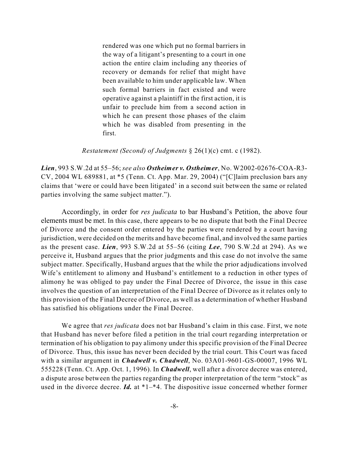rendered was one which put no formal barriers in the way of a litigant's presenting to a court in one action the entire claim including any theories of recovery or demands for relief that might have been available to him under applicable law. When such formal barriers in fact existed and were operative against a plaintiff in the first action, it is unfair to preclude him from a second action in which he can present those phases of the claim which he was disabled from presenting in the first.

*Restatement (Second) of Judgments* § 26(1)(c) cmt. c (1982).

*Lien*, 993 S.W.2d at 55–56; *see also Ostheimer v. Ostheimer*, No. W2002-02676-COA-R3- CV, 2004 WL 689881, at \*5 (Tenn. Ct. App. Mar. 29, 2004) ("[C]laim preclusion bars any claims that 'were or could have been litigated' in a second suit between the same or related parties involving the same subject matter.").

Accordingly, in order for *res judicata* to bar Husband's Petition, the above four elements must be met. In this case, there appears to be no dispute that both the Final Decree of Divorce and the consent order entered by the parties were rendered by a court having jurisdiction, were decided on the merits and have become final, and involved the same parties as the present case. *Lien*, 993 S.W.2d at 55–56 (citing *Lee*, 790 S.W.2d at 294). As we perceive it, Husband argues that the prior judgments and this case do not involve the same subject matter. Specifically, Husband argues that the while the prior adjudications involved Wife's entitlement to alimony and Husband's entitlement to a reduction in other types of alimony he was obliged to pay under the Final Decree of Divorce, the issue in this case involves the question of an interpretation of the Final Decree of Divorce as it relates only to this provision of the Final Decree of Divorce, as well as a determination of whether Husband has satisfied his obligations under the Final Decree.

We agree that *res judicata* does not bar Husband's claim in this case. First, we note that Husband has never before filed a petition in the trial court regarding interpretation or termination of his obligation to pay alimony under this specific provision of the Final Decree of Divorce. Thus, this issue has never been decided by the trial court. This Court was faced with a similar argument in *Chadwell v. Chadwell*, No. 03A01-9601-GS-00007, 1996 WL 555228 (Tenn. Ct. App. Oct. 1, 1996). In *Chadwell*, well after a divorce decree was entered, a dispute arose between the parties regarding the proper interpretation of the term "stock" as used in the divorce decree. *Id.* at \*1–\*4. The dispositive issue concerned whether former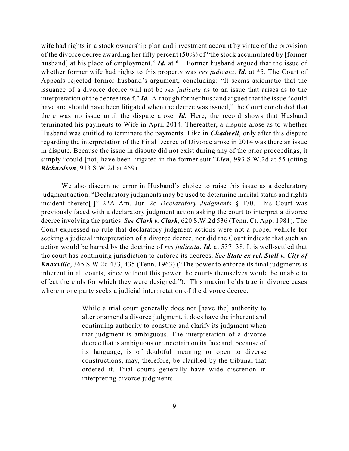wife had rights in a stock ownership plan and investment account by virtue of the provision of the divorce decree awarding her fifty percent (50%) of "the stock accumulated by [former husband] at his place of employment." *Id.* at \*1. Former husband argued that the issue of whether former wife had rights to this property was *res judicata*. *Id.* at \*5. The Court of Appeals rejected former husband's argument, concluding: "It seems axiomatic that the issuance of a divorce decree will not be *res judicata* as to an issue that arises as to the interpretation of the decree itself." *Id.* Although former husband argued that the issue "could have and should have been litigated when the decree was issued," the Court concluded that there was no issue until the dispute arose. *Id.* Here, the record shows that Husband terminated his payments to Wife in April 2014. Thereafter, a dispute arose as to whether Husband was entitled to terminate the payments. Like in *Chadwell*, only after this dispute regarding the interpretation of the Final Decree of Divorce arose in 2014 was there an issue in dispute. Because the issue in dispute did not exist during any of the prior proceedings, it simply "could [not] have been litigated in the former suit."*Lien*, 993 S.W.2d at 55 (citing *Richardson*, 913 S.W.2d at 459).

We also discern no error in Husband's choice to raise this issue as a declaratory judgment action. "Declaratory judgments may be used to determine marital status and rights incident thereto[.]" 22A Am. Jur. 2d *Declaratory Judgments* § 170. This Court was previously faced with a declaratory judgment action asking the court to interpret a divorce decree involving the parties. *See Clark v. Clark*, 620 S.W.2d 536 (Tenn. Ct. App. 1981). The Court expressed no rule that declaratory judgment actions were not a proper vehicle for seeking a judicial interpretation of a divorce decree, nor did the Court indicate that such an action would be barred by the doctrine of *res judicata*. *Id.* at 537–38. It is well-settled that the court has continuing jurisdiction to enforce its decrees. *See State ex rel. Stall v. City of Knoxville*, 365 S.W.2d 433, 435 (Tenn. 1963) ("The power to enforce its final judgments is inherent in all courts, since without this power the courts themselves would be unable to effect the ends for which they were designed."). This maxim holds true in divorce cases wherein one party seeks a judicial interpretation of the divorce decree:

> While a trial court generally does not [have the] authority to alter or amend a divorce judgment, it does have the inherent and continuing authority to construe and clarify its judgment when that judgment is ambiguous. The interpretation of a divorce decree that is ambiguous or uncertain on its face and, because of its language, is of doubtful meaning or open to diverse constructions, may, therefore, be clarified by the tribunal that ordered it. Trial courts generally have wide discretion in interpreting divorce judgments.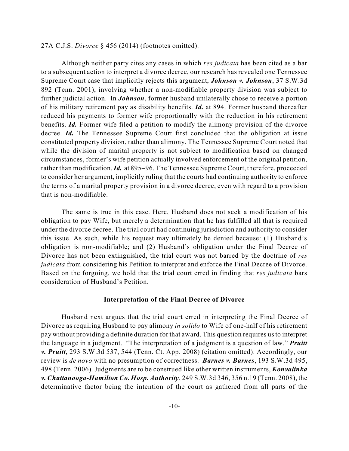## 27A C.J.S. *Divorce* § 456 (2014) (footnotes omitted).

Although neither party cites any cases in which *res judicata* has been cited as a bar to a subsequent action to interpret a divorce decree, our research has revealed one Tennessee Supreme Court case that implicitly rejects this argument, *Johnson v. Johnson*, 37 S.W.3d 892 (Tenn. 2001), involving whether a non-modifiable property division was subject to further judicial action. In *Johnson*, former husband unilaterally chose to receive a portion of his military retirement pay as disability benefits. *Id.* at 894. Former husband thereafter reduced his payments to former wife proportionally with the reduction in his retirement benefits. *Id.* Former wife filed a petition to modify the alimony provision of the divorce decree. *Id.* The Tennessee Supreme Court first concluded that the obligation at issue constituted property division, rather than alimony. The Tennessee Supreme Court noted that while the division of marital property is not subject to modification based on changed circumstances, former's wife petition actually involved enforcement of the original petition, rather than modification.*Id.* at 895–96. The Tennessee Supreme Court, therefore, proceeded to consider her argument, implicitly ruling that the courts had continuing authority to enforce the terms of a marital property provision in a divorce decree, even with regard to a provision that is non-modifiable.

The same is true in this case. Here, Husband does not seek a modification of his obligation to pay Wife, but merely a determination that he has fulfilled all that is required under the divorce decree. The trial court had continuing jurisdiction and authority to consider this issue. As such, while his request may ultimately be denied because: (1) Husband's obligation is non-modifiable; and (2) Husband's obligation under the Final Decree of Divorce has not been extinguished, the trial court was not barred by the doctrine of *res judicata* from considering his Petition to interpret and enforce the Final Decree of Divorce. Based on the forgoing, we hold that the trial court erred in finding that *res judicata* bars consideration of Husband's Petition.

#### **Interpretation of the Final Decree of Divorce**

Husband next argues that the trial court erred in interpreting the Final Decree of Divorce as requiring Husband to pay alimony *in solido* to Wife of one-half of his retirement pay without providing a definite duration for that award. This question requires usto interpret the language in a judgment. "The interpretation of a judgment is a question of law." *Pruitt v. Pruitt*, 293 S.W.3d 537, 544 (Tenn. Ct. App. 2008) (citation omitted). Accordingly, our review is *de novo* with no presumption of correctness. *Barnes v. Barnes*, 193 S.W.3d 495, 498 (Tenn. 2006). Judgments are to be construed like other written instruments, *Konvalinka v. Chattanooga-Hamilton Co. Hosp. Authority*, 249 S.W.3d 346, 356 n.19 (Tenn. 2008), the determinative factor being the intention of the court as gathered from all parts of the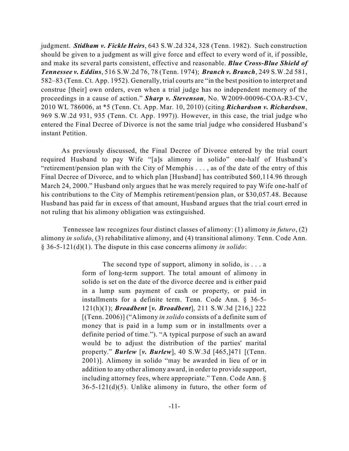judgment. *Stidham v. Fickle Heirs*, 643 S.W.2d 324, 328 (Tenn. 1982). Such construction should be given to a judgment as will give force and effect to every word of it, if possible, and make its several parts consistent, effective and reasonable. *Blue Cross-Blue Shield of Tennessee v. Eddins*, 516 S.W.2d 76, 78 (Tenn. 1974); *Branch v. Branch*, 249 S.W.2d 581, 582–83 (Tenn. Ct. App. 1952). Generally, trial courts are "in the best position to interpret and construe [their] own orders, even when a trial judge has no independent memory of the proceedings in a cause of action." *Sharp v. Stevenson*, No. W2009-00096-COA-R3-CV, 2010 WL 786006, at \*5 (Tenn. Ct. App. Mar. 10, 2010) (citing *Richardson v. Richardson*, 969 S.W.2d 931, 935 (Tenn. Ct. App. 1997)). However, in this case, the trial judge who entered the Final Decree of Divorce is not the same trial judge who considered Husband's instant Petition.

As previously discussed, the Final Decree of Divorce entered by the trial court required Husband to pay Wife "[a]s alimony in solido" one-half of Husband's "retirement/pension plan with the City of Memphis . . . , as of the date of the entry of this Final Decree of Divorce, and to which plan [Husband] has contributed \$60,114.96 through March 24, 2000." Husband only argues that he was merely required to pay Wife one-half of his contributions to the City of Memphis retirement/pension plan, or \$30,057.48. Because Husband has paid far in excess of that amount, Husband argues that the trial court erred in not ruling that his alimony obligation was extinguished.

Tennessee law recognizes four distinct classes of alimony: (1) alimony *in futuro*, (2) alimony *in solido*, (3) rehabilitative alimony, and (4) transitional alimony. Tenn. Code Ann. § 36-5-121(d)(1). The dispute in this case concerns alimony *in solido*:

> The second type of support, alimony in solido, is  $\dots$  a form of long-term support. The total amount of alimony in solido is set on the date of the divorce decree and is either paid in a lump sum payment of cash or property, or paid in installments for a definite term. Tenn. Code Ann. § 36-5- 121(h)(1); *Broadbent* [*v. Broadbent*], 211 S.W.3d [216,] 222 [(Tenn. 2006)] ("Alimony *in solido* consists of a definite sum of money that is paid in a lump sum or in installments over a definite period of time."). "A typical purpose of such an award would be to adjust the distribution of the parties' marital property." *Burlew* [*v. Burlew*], 40 S.W.3d [465,]471 [(Tenn. 2001)]. Alimony in solido "may be awarded in lieu of or in addition to any other alimony award, in order to provide support, including attorney fees, where appropriate." Tenn. Code Ann. §  $36-5-121(d)(5)$ . Unlike alimony in futuro, the other form of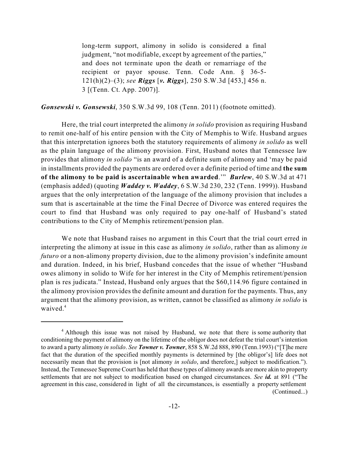long-term support, alimony in solido is considered a final judgment, "not modifiable, except by agreement of the parties," and does not terminate upon the death or remarriage of the recipient or payor spouse. Tenn. Code Ann. § 36-5- 121(h)(2)–(3); *see Riggs* [*v. Riggs*], 250 S.W.3d [453,] 456 n. 3 [(Tenn. Ct. App. 2007)].

### *Gonsewski v. Gonsewski*, 350 S.W.3d 99, 108 (Tenn. 2011) (footnote omitted).

Here, the trial court interpreted the alimony *in solido* provision as requiring Husband to remit one-half of his entire pension with the City of Memphis to Wife. Husband argues that this interpretation ignores both the statutory requirements of alimony *in solido* as well as the plain language of the alimony provision. First, Husband notes that Tennessee law provides that alimony *in solido* "is an award of a definite sum of alimony and 'may be paid in installments provided the payments are ordered over a definite period of time and **the sum of the alimony to be paid is ascertainable when awarded**.'" *Burlew*, 40 S.W.3d at 471 (emphasis added) (quoting *Waddey v. Waddey*, 6 S.W.3d 230, 232 (Tenn. 1999)). Husband argues that the only interpretation of the language of the alimony provision that includes a sum that is ascertainable at the time the Final Decree of Divorce was entered requires the court to find that Husband was only required to pay one-half of Husband's stated contributions to the City of Memphis retirement/pension plan.

We note that Husband raises no argument in this Court that the trial court erred in interpreting the alimony at issue in this case as alimony *in solido*, rather than as alimony *in futuro* or a non-alimony property division, due to the alimony provision's indefinite amount and duration. Indeed, in his brief, Husband concedes that the issue of whether "Husband owes alimony in solido to Wife for her interest in the City of Memphis retirement/pension plan is res judicata." Instead, Husband only argues that the \$60,114.96 figure contained in the alimony provision provides the definite amount and duration for the payments. Thus, any argument that the alimony provision, as written, cannot be classified as alimony *in solido* is waived. 4

<sup>&</sup>lt;sup>4</sup> Although this issue was not raised by Husband, we note that there is some authority that conditioning the payment of alimony on the lifetime of the obligor does not defeat the trial court's intention to award a party alimony *in solido*. *See Towner v. Towner*, 858 S.W.2d 888, 890 (Tenn.1993) ("[T]he mere fact that the duration of the specified monthly payments is determined by [the obligor's] life does not necessarily mean that the provision is [not alimony *in solido*, and therefore,] subject to modification."). Instead, the Tennessee Supreme Court has held that these types of alimony awards are more akin to property settlements that are not subject to modification based on changed circumstances. *See id.* at 891 ("The agreement in this case, considered in light of all the circumstances, is essentially a property settlement (Continued...)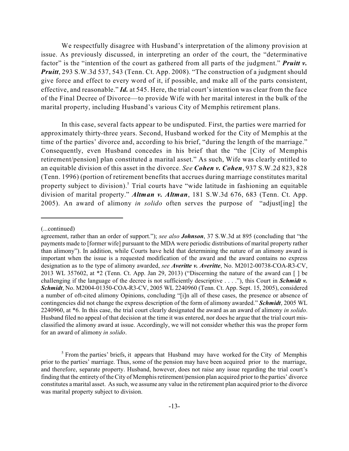We respectfully disagree with Husband's interpretation of the alimony provision at issue. As previously discussed, in interpreting an order of the court, the "determinative factor" is the "intention of the court as gathered from all parts of the judgment." *Pruitt v. Pruitt*, 293 S.W.3d 537, 543 (Tenn. Ct. App. 2008). "The construction of a judgment should give force and effect to every word of it, if possible, and make all of the parts consistent, effective, and reasonable." *Id.* at 545. Here, the trial court's intention was clear from the face of the Final Decree of Divorce—to provide Wife with her marital interest in the bulk of the marital property, including Husband's various City of Memphis retirement plans.

In this case, several facts appear to be undisputed. First, the parties were married for approximately thirty-three years. Second, Husband worked for the City of Memphis at the time of the parties' divorce and, according to his brief, "during the length of the marriage." Consequently, even Husband concedes in his brief that the "the [City of Memphis retirement/pension] plan constituted a marital asset." As such, Wife was clearly entitled to an equitable division of this asset in the divorce. *See Cohen v. Cohen*, 937 S.W.2d 823, 828 (Tenn. 1996) (portion of retirement benefits that accrues during marriage constitutes marital property subject to division).<sup>5</sup> Trial courts have "wide latitude in fashioning an equitable division of marital property." *Altman v. Altman*, 181 S.W.3d 676, 683 (Tenn. Ct. App. 2005). An award of alimony *in solido* often serves the purpose of "adjust[ing] the

<sup>(...</sup>continued)

agreement, rather than an order of support."); *see also Johnson*, 37 S.W.3d at 895 (concluding that "the payments made to [former wife] pursuant to the MDA were periodic distributions of marital property rather than alimony"). In addition, while Courts have held that determining the nature of an alimony award is important when the issue is a requested modification of the award and the award contains no express designation as to the type of alimony awarded, *see Averitte v. Averitte*, No. M2012-00738-COA-R3-CV, 2013 WL 357602, at \*2 (Tenn. Ct. App. Jan 29, 2013) ("Discerning the nature of the award can [ ] be challenging if the language of the decree is not sufficiently descriptive . . . ."), this Court in *Schmidt v. Schmidt*, No. M2004-01350-COA-R3-CV, 2005 WL 2240960 (Tenn. Ct. App. Sept. 15, 2005), considered a number of oft-cited alimony Opinions, concluding "[i]n all of these cases, the presence or absence of contingencies did not change the express description of the form of alimony awarded." *Schmidt*, 2005 WL 2240960, at \*6. In this case, the trial court clearly designated the award as an award of alimony *in solido*. Husband filed no appeal of that decision at the time it was entered, nor does he argue that the trial court misclassified the alimony award at issue. Accordingly, we will not consider whether this was the proper form for an award of alimony *in solido*.

 $<sup>5</sup>$  From the parties' briefs, it appears that Husband may have worked for the City of Memphis</sup> prior to the parties' marriage. Thus, some of the pension may have been acquired prior to the marriage, and therefore, separate property. Husband, however, does not raise any issue regarding the trial court's finding that the entirety of theCity of Memphis retirement/pension plan acquired prior to the parties' divorce constitutes a marital asset. As such, we assume any value in the retirement plan acquired prior to the divorce was marital property subject to division.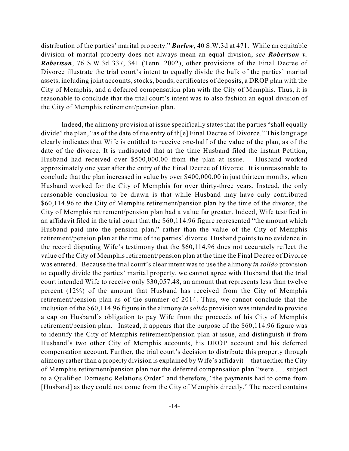distribution of the parties' marital property." *Burlew*, 40 S.W.3d at 471. While an equitable division of marital property does not always mean an equal division, *see Robertson v. Robertson*, 76 S.W.3d 337, 341 (Tenn. 2002), other provisions of the Final Decree of Divorce illustrate the trial court's intent to equally divide the bulk of the parties' marital assets, including joint accounts, stocks, bonds, certificates of deposits, a DROP plan with the City of Memphis, and a deferred compensation plan with the City of Memphis. Thus, it is reasonable to conclude that the trial court's intent was to also fashion an equal division of the City of Memphis retirement/pension plan.

Indeed, the alimony provision at issue specifically states that the parties "shall equally divide" the plan, "as of the date of the entry of th[e] Final Decree of Divorce." This language clearly indicates that Wife is entitled to receive one-half of the value of the plan, as of the date of the divorce. It is undisputed that at the time Husband filed the instant Petition, Husband had received over \$500,000.00 from the plan at issue. Husband worked approximately one year after the entry of the Final Decree of Divorce. It is unreasonable to conclude that the plan increased in value by over \$400,000.00 in just thirteen months, when Husband worked for the City of Memphis for over thirty-three years. Instead, the only reasonable conclusion to be drawn is that while Husband may have only contributed \$60,114.96 to the City of Memphis retirement/pension plan by the time of the divorce, the City of Memphis retirement/pension plan had a value far greater. Indeed, Wife testified in an affidavit filed in the trial court that the \$60,114.96 figure represented "the amount which Husband paid into the pension plan," rather than the value of the City of Memphis retirement/pension plan at the time of the parties' divorce. Husband points to no evidence in the record disputing Wife's testimony that the \$60,114.96 does not accurately reflect the value of the City of Memphis retirement/pension plan at the time the Final Decree of Divorce was entered. Because the trial court's clear intent was to use the alimony *in solido* provision to equally divide the parties' marital property, we cannot agree with Husband that the trial court intended Wife to receive only \$30,057.48, an amount that represents less than twelve percent (12%) of the amount that Husband has received from the City of Memphis retirement/pension plan as of the summer of 2014. Thus, we cannot conclude that the inclusion of the \$60,114.96 figure in the alimony *in solido* provision was intended to provide a cap on Husband's obligation to pay Wife from the proceeds of his City of Memphis retirement/pension plan. Instead, it appears that the purpose of the \$60,114.96 figure was to identify the City of Memphis retirement/pension plan at issue, and distinguish it from Husband's two other City of Memphis accounts, his DROP account and his deferred compensation account. Further, the trial court's decision to distribute this property through alimony rather than a property division is explained by Wife's affidavit—that neither the City of Memphis retirement/pension plan nor the deferred compensation plan "were . . . subject to a Qualified Domestic Relations Order" and therefore, "the payments had to come from [Husband] as they could not come from the City of Memphis directly." The record contains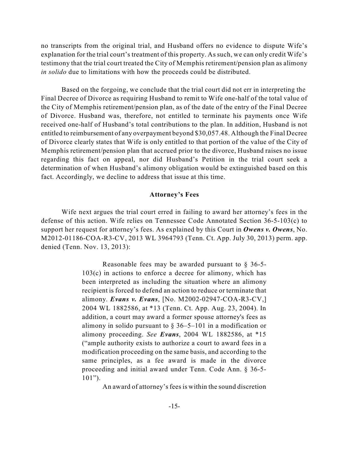no transcripts from the original trial, and Husband offers no evidence to dispute Wife's explanation for the trial court's treatment of this property. As such, we can only credit Wife's testimony that the trial court treated the City of Memphis retirement/pension plan as alimony *in solido* due to limitations with how the proceeds could be distributed.

Based on the forgoing, we conclude that the trial court did not err in interpreting the Final Decree of Divorce as requiring Husband to remit to Wife one-half of the total value of the City of Memphis retirement/pension plan, as of the date of the entry of the Final Decree of Divorce. Husband was, therefore, not entitled to terminate his payments once Wife received one-half of Husband's total contributions to the plan. In addition, Husband is not entitled to reimbursement of any overpayment beyond \$30,057.48. Although the Final Decree of Divorce clearly states that Wife is only entitled to that portion of the value of the City of Memphis retirement/pension plan that accrued prior to the divorce, Husband raises no issue regarding this fact on appeal, nor did Husband's Petition in the trial court seek a determination of when Husband's alimony obligation would be extinguished based on this fact. Accordingly, we decline to address that issue at this time.

#### **Attorney's Fees**

Wife next argues the trial court erred in failing to award her attorney's fees in the defense of this action. Wife relies on Tennessee Code Annotated Section 36-5-103(c) to support her request for attorney's fees. As explained by this Court in *Owens v. Owens*, No. M2012-01186-COA-R3-CV, 2013 WL 3964793 (Tenn. Ct. App. July 30, 2013) perm. app. denied (Tenn. Nov. 13, 2013):

> Reasonable fees may be awarded pursuant to § 36-5- 103(c) in actions to enforce a decree for alimony, which has been interpreted as including the situation where an alimony recipient is forced to defend an action to reduce or terminate that alimony. *Evans v. Evans*, [No. M2002-02947-COA-R3-CV,] 2004 WL 1882586, at \*13 (Tenn. Ct. App. Aug. 23, 2004). In addition, a court may award a former spouse attorney's fees as alimony in solido pursuant to  $\S 36-5-101$  in a modification or alimony proceeding. *See Evans*, 2004 WL 1882586, at \*15 ("ample authority exists to authorize a court to award fees in a modification proceeding on the same basis, and according to the same principles, as a fee award is made in the divorce proceeding and initial award under Tenn. Code Ann. § 36-5-  $101"$ ).

> > An award of attorney'sfeesis within the sound discretion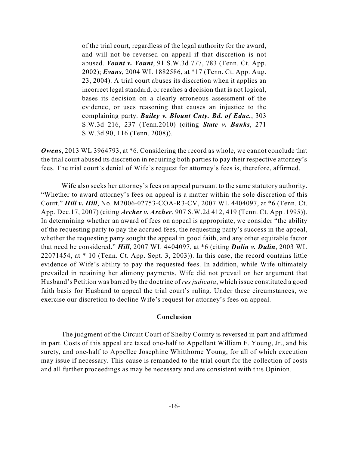of the trial court, regardless of the legal authority for the award, and will not be reversed on appeal if that discretion is not abused. *Yount v. Yount*, 91 S.W.3d 777, 783 (Tenn. Ct. App. 2002); *Evans*, 2004 WL 1882586, at \*17 (Tenn. Ct. App. Aug. 23, 2004). A trial court abuses its discretion when it applies an incorrect legal standard, or reaches a decision that is not logical, bases its decision on a clearly erroneous assessment of the evidence, or uses reasoning that causes an injustice to the complaining party. *Bailey v. Blount Cnty. Bd. of Educ.*, 303 S.W.3d 216, 237 (Tenn.2010) (citing *State v. Banks*, 271 S.W.3d 90, 116 (Tenn. 2008)).

*Owens*, 2013 WL 3964793, at \*6. Considering the record as whole, we cannot conclude that the trial court abused its discretion in requiring both parties to pay their respective attorney's fees. The trial court's denial of Wife's request for attorney's fees is, therefore, affirmed.

Wife also seeks her attorney's fees on appeal pursuant to the same statutory authority. "Whether to award attorney's fees on appeal is a matter within the sole discretion of this Court." *Hill v. Hill*, No. M2006-02753-COA-R3-CV, 2007 WL 4404097, at \*6 (Tenn. Ct. App. Dec.17, 2007) (citing *Archer v. Archer*, 907 S.W.2d 412, 419 (Tenn. Ct. App .1995)). In determining whether an award of fees on appeal is appropriate, we consider "the ability of the requesting party to pay the accrued fees, the requesting party's success in the appeal, whether the requesting party sought the appeal in good faith, and any other equitable factor that need be considered." *Hill*, 2007 WL 4404097, at \*6 (citing *Dulin v. Dulin*, 2003 WL 22071454, at \* 10 (Tenn. Ct. App. Sept. 3, 2003)). In this case, the record contains little evidence of Wife's ability to pay the requested fees. In addition, while Wife ultimately prevailed in retaining her alimony payments, Wife did not prevail on her argument that Husband's Petition was barred by the doctrine of *res judicata*, which issue constituted a good faith basis for Husband to appeal the trial court's ruling. Under these circumstances, we exercise our discretion to decline Wife's request for attorney's fees on appeal.

## **Conclusion**

The judgment of the Circuit Court of Shelby County is reversed in part and affirmed in part. Costs of this appeal are taxed one-half to Appellant William F. Young, Jr., and his surety, and one-half to Appellee Josephine Whitthorne Young, for all of which execution may issue if necessary. This cause is remanded to the trial court for the collection of costs and all further proceedings as may be necessary and are consistent with this Opinion.